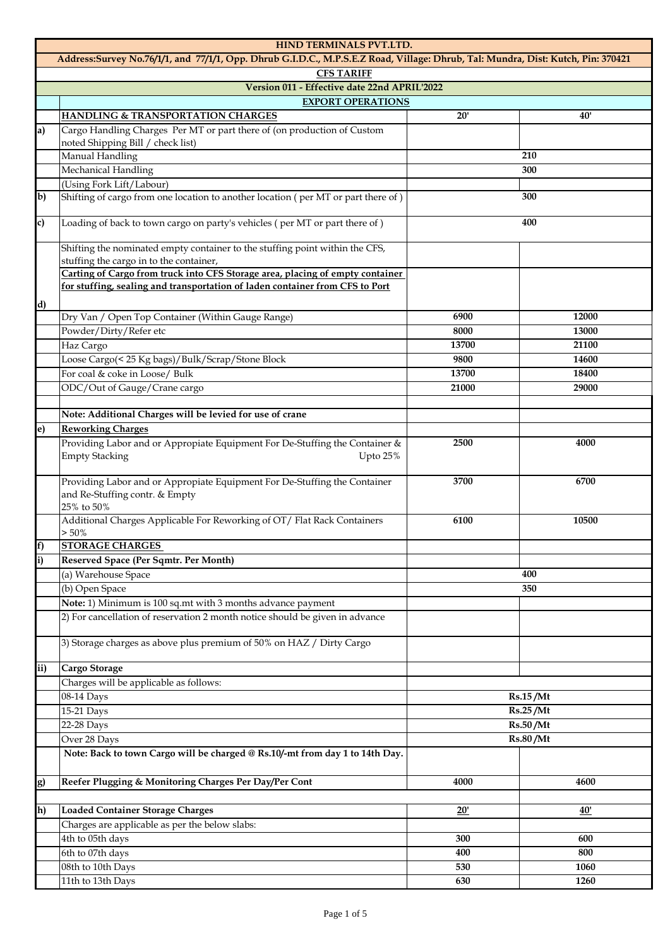|                                                                                                                                  | HIND TERMINALS PVT.LTD.                                                                                                   |                                         |                 |  |
|----------------------------------------------------------------------------------------------------------------------------------|---------------------------------------------------------------------------------------------------------------------------|-----------------------------------------|-----------------|--|
| Address:Survey No.76/1/1, and 77/1/1, Opp. Dhrub G.I.D.C., M.P.S.E.Z Road, Village: Dhrub, Tal: Mundra, Dist: Kutch, Pin: 370421 |                                                                                                                           |                                         |                 |  |
|                                                                                                                                  | <b>CFS TARIFF</b>                                                                                                         |                                         |                 |  |
|                                                                                                                                  | Version 011 - Effective date 22nd APRIL'2022                                                                              |                                         |                 |  |
|                                                                                                                                  | <b>EXPORT OPERATIONS</b>                                                                                                  |                                         |                 |  |
|                                                                                                                                  | <b>HANDLING &amp; TRANSPORTATION CHARGES</b>                                                                              | 20'                                     | 40'             |  |
| a)                                                                                                                               | Cargo Handling Charges Per MT or part there of (on production of Custom                                                   |                                         |                 |  |
|                                                                                                                                  | noted Shipping Bill / check list)                                                                                         |                                         |                 |  |
|                                                                                                                                  | Manual Handling                                                                                                           |                                         | 210             |  |
|                                                                                                                                  | Mechanical Handling                                                                                                       |                                         | 300             |  |
| $\overline{\mathbf{b}}$                                                                                                          | (Using Fork Lift/Labour)                                                                                                  |                                         | 300             |  |
|                                                                                                                                  | Shifting of cargo from one location to another location (per MT or part there of)                                         |                                         |                 |  |
| c)                                                                                                                               | Loading of back to town cargo on party's vehicles (per MT or part there of)                                               |                                         | 400             |  |
|                                                                                                                                  | Shifting the nominated empty container to the stuffing point within the CFS,                                              |                                         |                 |  |
|                                                                                                                                  | stuffing the cargo in to the container,                                                                                   |                                         |                 |  |
|                                                                                                                                  | Carting of Cargo from truck into CFS Storage area, placing of empty container                                             |                                         |                 |  |
|                                                                                                                                  | for stuffing, sealing and transportation of laden container from CFS to Port                                              |                                         |                 |  |
| d)                                                                                                                               |                                                                                                                           |                                         |                 |  |
|                                                                                                                                  | Dry Van / Open Top Container (Within Gauge Range)                                                                         | 6900                                    | 12000           |  |
|                                                                                                                                  | Powder/Dirty/Refer etc                                                                                                    | 8000                                    | 13000           |  |
|                                                                                                                                  | Haz Cargo                                                                                                                 | 13700                                   | 21100           |  |
|                                                                                                                                  | Loose Cargo(< 25 Kg bags)/Bulk/Scrap/Stone Block                                                                          | 9800                                    | 14600           |  |
|                                                                                                                                  | For coal & coke in Loose/ Bulk                                                                                            | 13700                                   | 18400           |  |
|                                                                                                                                  | ODC/Out of Gauge/Crane cargo                                                                                              | 21000                                   | 29000           |  |
|                                                                                                                                  | Note: Additional Charges will be levied for use of crane                                                                  |                                         |                 |  |
| e)                                                                                                                               | <b>Reworking Charges</b>                                                                                                  |                                         |                 |  |
|                                                                                                                                  | Providing Labor and or Appropiate Equipment For De-Stuffing the Container &                                               | 2500                                    | 4000            |  |
|                                                                                                                                  | <b>Empty Stacking</b><br>Upto 25%                                                                                         |                                         |                 |  |
|                                                                                                                                  | Providing Labor and or Appropiate Equipment For De-Stuffing the Container<br>and Re-Stuffing contr. & Empty<br>25% to 50% | 3700                                    | 6700            |  |
|                                                                                                                                  | Additional Charges Applicable For Reworking of OT/ Flat Rack Containers<br>$> 50\%$                                       | 6100                                    | 10500           |  |
| [f                                                                                                                               | <b>STORAGE CHARGES</b>                                                                                                    |                                         |                 |  |
| i)                                                                                                                               | Reserved Space (Per Sqmtr. Per Month)                                                                                     |                                         |                 |  |
|                                                                                                                                  | (a) Warehouse Space                                                                                                       |                                         | 400             |  |
|                                                                                                                                  | (b) Open Space                                                                                                            | 350                                     |                 |  |
|                                                                                                                                  | Note: 1) Minimum is 100 sq.mt with 3 months advance payment                                                               |                                         |                 |  |
|                                                                                                                                  | 2) For cancellation of reservation 2 month notice should be given in advance                                              |                                         |                 |  |
|                                                                                                                                  | 3) Storage charges as above plus premium of 50% on HAZ / Dirty Cargo                                                      |                                         |                 |  |
| ii)                                                                                                                              | Cargo Storage                                                                                                             |                                         |                 |  |
|                                                                                                                                  | Charges will be applicable as follows:                                                                                    |                                         |                 |  |
|                                                                                                                                  | 08-14 Days                                                                                                                |                                         | <b>Rs.15/Mt</b> |  |
|                                                                                                                                  | 15-21 Days                                                                                                                | Rs.25/Mt<br>Rs.50/Mt<br><b>Rs.80/Mt</b> |                 |  |
|                                                                                                                                  | 22-28 Days                                                                                                                |                                         |                 |  |
|                                                                                                                                  | Over 28 Days                                                                                                              |                                         |                 |  |
|                                                                                                                                  | Note: Back to town Cargo will be charged @ Rs.10/-mt from day 1 to 14th Day.                                              |                                         |                 |  |
| g)                                                                                                                               | Reefer Plugging & Monitoring Charges Per Day/Per Cont                                                                     | 4000                                    | 4600            |  |
|                                                                                                                                  |                                                                                                                           |                                         |                 |  |
| h)                                                                                                                               | <b>Loaded Container Storage Charges</b>                                                                                   | 20'                                     | 40'             |  |
|                                                                                                                                  | Charges are applicable as per the below slabs:                                                                            |                                         |                 |  |
|                                                                                                                                  | 4th to 05th days                                                                                                          | 300                                     | 600             |  |
|                                                                                                                                  | 6th to 07th days                                                                                                          | 400                                     | 800             |  |
|                                                                                                                                  | 08th to 10th Days                                                                                                         | 530                                     | 1060            |  |
|                                                                                                                                  | 11th to 13th Days                                                                                                         | 630                                     | 1260            |  |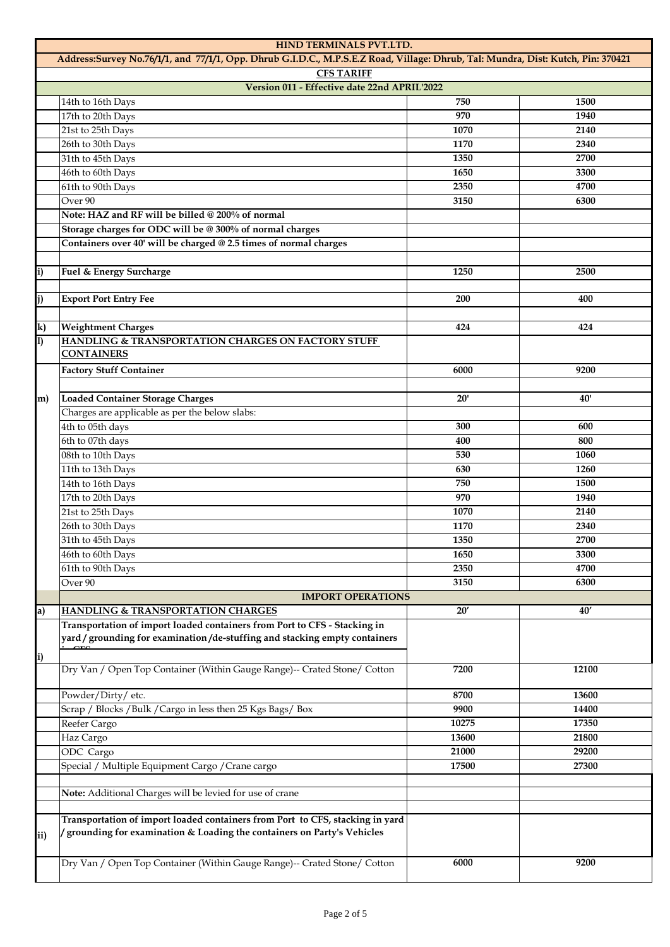|                | HIND TERMINALS PVT.LTD.                                                                                                                                 |       |       |
|----------------|---------------------------------------------------------------------------------------------------------------------------------------------------------|-------|-------|
|                | Address:Survey No.76/1/1, and 77/1/1, Opp. Dhrub G.I.D.C., M.P.S.E.Z Road, Village: Dhrub, Tal: Mundra, Dist: Kutch, Pin: 370421                        |       |       |
|                | <b>CFS TARIFF</b>                                                                                                                                       |       |       |
|                | Version 011 - Effective date 22nd APRIL'2022                                                                                                            |       |       |
|                | 14th to 16th Days                                                                                                                                       | 750   | 1500  |
|                | 17th to 20th Days                                                                                                                                       | 970   | 1940  |
|                | 21st to 25th Days                                                                                                                                       | 1070  | 2140  |
|                | 26th to 30th Days                                                                                                                                       | 1170  | 2340  |
|                | 31th to 45th Days                                                                                                                                       | 1350  | 2700  |
|                | 46th to 60th Days                                                                                                                                       | 1650  | 3300  |
|                | 61th to 90th Days                                                                                                                                       | 2350  | 4700  |
|                | Over <sub>90</sub>                                                                                                                                      | 3150  | 6300  |
|                | Note: HAZ and RF will be billed @ 200% of normal                                                                                                        |       |       |
|                | Storage charges for ODC will be @ 300% of normal charges                                                                                                |       |       |
|                | Containers over 40' will be charged @ 2.5 times of normal charges                                                                                       |       |       |
|                |                                                                                                                                                         |       |       |
| i)             | Fuel & Energy Surcharge                                                                                                                                 | 1250  | 2500  |
|                |                                                                                                                                                         |       |       |
| j)             | <b>Export Port Entry Fee</b>                                                                                                                            | 200   | 400   |
|                |                                                                                                                                                         |       |       |
| k)             | <b>Weightment Charges</b>                                                                                                                               | 424   | 424   |
| $\overline{1}$ | HANDLING & TRANSPORTATION CHARGES ON FACTORY STUFF<br><b>CONTAINERS</b>                                                                                 |       |       |
|                |                                                                                                                                                         |       |       |
|                | <b>Factory Stuff Container</b>                                                                                                                          | 6000  | 9200  |
|                |                                                                                                                                                         |       |       |
| m)             | <b>Loaded Container Storage Charges</b>                                                                                                                 | 20'   | 40'   |
|                | Charges are applicable as per the below slabs:                                                                                                          |       |       |
|                | 4th to 05th days                                                                                                                                        | 300   | 600   |
|                | 6th to 07th days                                                                                                                                        | 400   | 800   |
|                | 08th to 10th Days                                                                                                                                       | 530   | 1060  |
|                | 11th to 13th Days                                                                                                                                       | 630   | 1260  |
|                | 14th to 16th Days                                                                                                                                       | 750   | 1500  |
|                | 17th to 20th Days                                                                                                                                       | 970   | 1940  |
|                | 21st to 25th Days                                                                                                                                       | 1070  | 2140  |
|                | 26th to 30th Days                                                                                                                                       | 1170  | 2340  |
|                | 31th to 45th Days                                                                                                                                       | 1350  | 2700  |
|                | 46th to 60th Days                                                                                                                                       | 1650  | 3300  |
|                | 61th to 90th Days                                                                                                                                       | 2350  | 4700  |
|                | Over <sub>90</sub>                                                                                                                                      | 3150  | 6300  |
|                | <b>IMPORT OPERATIONS</b>                                                                                                                                |       |       |
| a)             | <b>HANDLING &amp; TRANSPORTATION CHARGES</b>                                                                                                            | 20'   | 40'   |
|                | Transportation of import loaded containers from Port to CFS - Stacking in<br>yard / grounding for examination/de-stuffing and stacking empty containers |       |       |
| i)             |                                                                                                                                                         |       |       |
|                | Dry Van / Open Top Container (Within Gauge Range)-- Crated Stone/ Cotton                                                                                | 7200  | 12100 |
|                | Powder/Dirty/etc.                                                                                                                                       | 8700  | 13600 |
|                | Scrap / Blocks / Bulk / Cargo in less then 25 Kgs Bags/ Box                                                                                             | 9900  | 14400 |
|                | Reefer Cargo                                                                                                                                            | 10275 | 17350 |
|                | Haz Cargo                                                                                                                                               | 13600 | 21800 |
|                | ODC Cargo                                                                                                                                               | 21000 | 29200 |
|                | Special / Multiple Equipment Cargo / Crane cargo                                                                                                        | 17500 | 27300 |
|                |                                                                                                                                                         |       |       |
|                | Note: Additional Charges will be levied for use of crane                                                                                                |       |       |
|                | Transportation of import loaded containers from Port to CFS, stacking in yard                                                                           |       |       |
| ii)            | grounding for examination & Loading the containers on Party's Vehicles                                                                                  |       |       |
|                | Dry Van / Open Top Container (Within Gauge Range)-- Crated Stone/ Cotton                                                                                | 6000  | 9200  |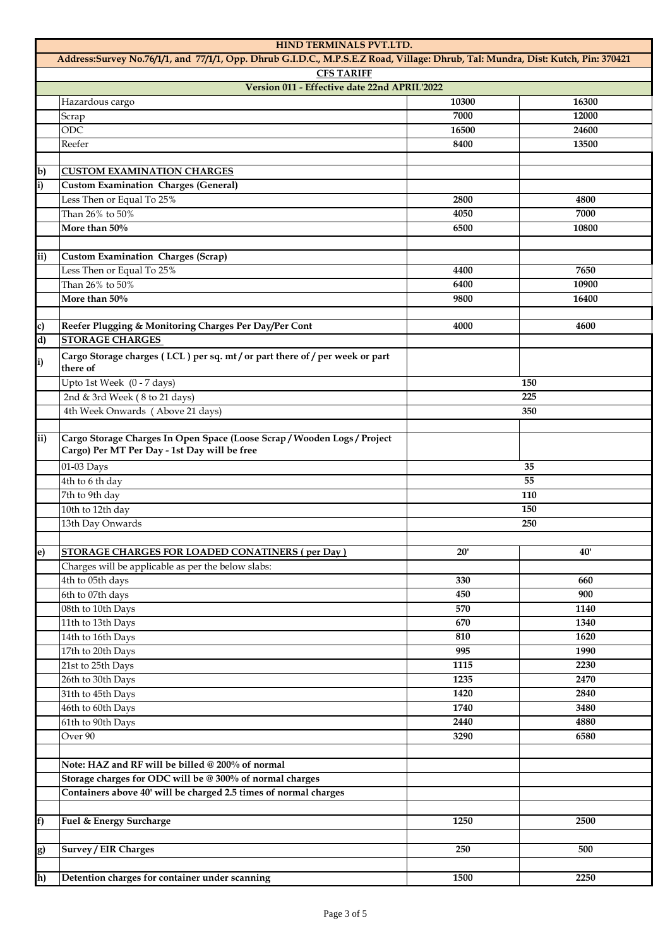| HIND TERMINALS PVT.LTD.                                                                                                          |                                                                                                                      |            |       |
|----------------------------------------------------------------------------------------------------------------------------------|----------------------------------------------------------------------------------------------------------------------|------------|-------|
| Address:Survey No.76/1/1, and 77/1/1, Opp. Dhrub G.I.D.C., M.P.S.E.Z Road, Village: Dhrub, Tal: Mundra, Dist: Kutch, Pin: 370421 |                                                                                                                      |            |       |
|                                                                                                                                  | <b>CFS TARIFF</b>                                                                                                    |            |       |
|                                                                                                                                  | Version 011 - Effective date 22nd APRIL'2022                                                                         |            |       |
|                                                                                                                                  | Hazardous cargo                                                                                                      | 10300      | 16300 |
|                                                                                                                                  | Scrap                                                                                                                | 7000       | 12000 |
|                                                                                                                                  | ODC                                                                                                                  | 16500      | 24600 |
|                                                                                                                                  | Reefer                                                                                                               | 8400       | 13500 |
|                                                                                                                                  |                                                                                                                      |            |       |
| $\mathbf{b}$                                                                                                                     | <b>CUSTOM EXAMINATION CHARGES</b>                                                                                    |            |       |
| i)                                                                                                                               | <b>Custom Examination Charges (General)</b>                                                                          |            |       |
|                                                                                                                                  | Less Then or Equal To 25%                                                                                            | 2800       | 4800  |
|                                                                                                                                  | Than 26% to 50%                                                                                                      | 4050       | 7000  |
|                                                                                                                                  | More than 50%                                                                                                        | 6500       | 10800 |
|                                                                                                                                  |                                                                                                                      |            |       |
| ii)                                                                                                                              | <b>Custom Examination Charges (Scrap)</b>                                                                            |            |       |
|                                                                                                                                  | Less Then or Equal To 25%                                                                                            | 4400       | 7650  |
|                                                                                                                                  | Than 26% to 50%                                                                                                      | 6400       | 10900 |
|                                                                                                                                  | More than 50%                                                                                                        | 9800       | 16400 |
|                                                                                                                                  |                                                                                                                      | 4000       | 4600  |
| c)<br>d)                                                                                                                         | Reefer Plugging & Monitoring Charges Per Day/Per Cont<br><b>STORAGE CHARGES</b>                                      |            |       |
|                                                                                                                                  |                                                                                                                      |            |       |
| i)                                                                                                                               | Cargo Storage charges (LCL) per sq. mt/or part there of/per week or part<br>there of                                 |            |       |
|                                                                                                                                  | Upto 1st Week (0 - 7 days)                                                                                           |            | 150   |
|                                                                                                                                  | 2nd & 3rd Week (8 to 21 days)                                                                                        |            | 225   |
|                                                                                                                                  | 4th Week Onwards (Above 21 days)                                                                                     |            | 350   |
|                                                                                                                                  |                                                                                                                      |            |       |
| ii)                                                                                                                              | Cargo Storage Charges In Open Space (Loose Scrap/Wooden Logs/Project<br>Cargo) Per MT Per Day - 1st Day will be free |            |       |
|                                                                                                                                  | 01-03 Days                                                                                                           |            | 35    |
|                                                                                                                                  | 4th to 6 th day                                                                                                      | 55         |       |
|                                                                                                                                  | 7th to 9th day                                                                                                       |            | 110   |
|                                                                                                                                  | 10th to 12th day                                                                                                     | 150<br>250 |       |
|                                                                                                                                  | 13th Day Onwards                                                                                                     |            |       |
|                                                                                                                                  |                                                                                                                      |            |       |
| e)                                                                                                                               | STORAGE CHARGES FOR LOADED CONATINERS (per Day)                                                                      | 20'        | 40'   |
|                                                                                                                                  | Charges will be applicable as per the below slabs:                                                                   |            |       |
|                                                                                                                                  | 4th to 05th days                                                                                                     | 330        | 660   |
|                                                                                                                                  | 6th to 07th days                                                                                                     | 450        | 900   |
|                                                                                                                                  | 08th to 10th Days                                                                                                    | 570        | 1140  |
|                                                                                                                                  | 11th to 13th Days                                                                                                    | 670        | 1340  |
|                                                                                                                                  | 14th to 16th Days                                                                                                    | 810        | 1620  |
|                                                                                                                                  | 17th to 20th Days                                                                                                    | 995        | 1990  |
|                                                                                                                                  | 21st to 25th Days                                                                                                    | 1115       | 2230  |
|                                                                                                                                  | 26th to 30th Days                                                                                                    | 1235       | 2470  |
|                                                                                                                                  | 31th to 45th Days                                                                                                    | 1420       | 2840  |
|                                                                                                                                  | 46th to 60th Days                                                                                                    | 1740       | 3480  |
|                                                                                                                                  | 61th to 90th Days                                                                                                    | 2440       | 4880  |
|                                                                                                                                  | Over 90                                                                                                              | 3290       | 6580  |
|                                                                                                                                  |                                                                                                                      |            |       |
|                                                                                                                                  | Note: HAZ and RF will be billed @ 200% of normal                                                                     |            |       |
|                                                                                                                                  | Storage charges for ODC will be @ 300% of normal charges                                                             |            |       |
|                                                                                                                                  | Containers above 40' will be charged 2.5 times of normal charges                                                     |            |       |
|                                                                                                                                  |                                                                                                                      |            |       |
| f)                                                                                                                               | Fuel & Energy Surcharge                                                                                              | 1250       | 2500  |
|                                                                                                                                  |                                                                                                                      |            |       |
| g)                                                                                                                               | <b>Survey / EIR Charges</b>                                                                                          | 250        | 500   |
|                                                                                                                                  |                                                                                                                      |            |       |
| h)                                                                                                                               | Detention charges for container under scanning                                                                       | 1500       | 2250  |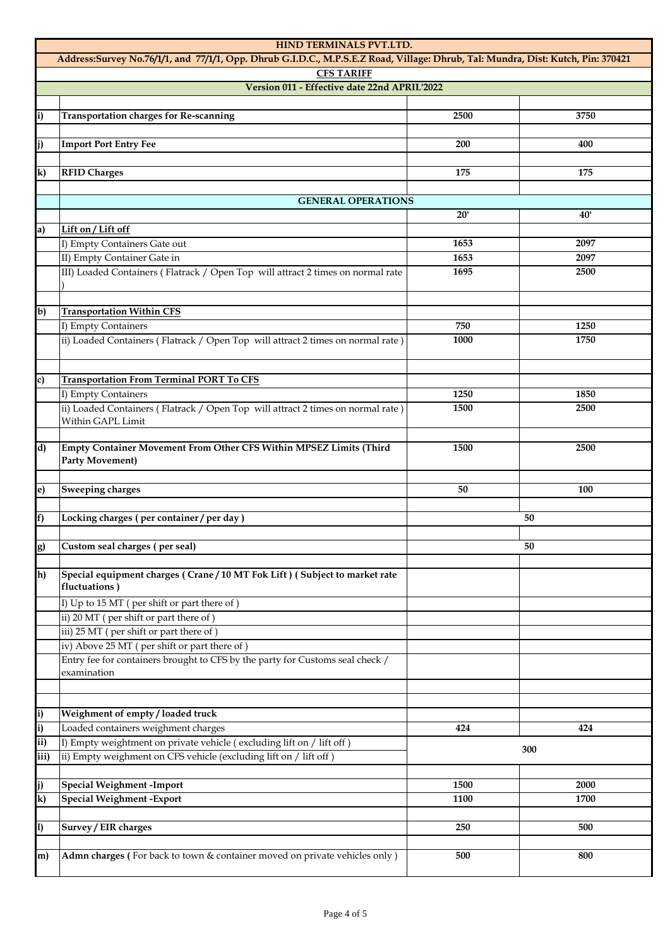| HIND TERMINALS PVT.LTD.                                                                                                          |                                                                                                        |              |              |  |
|----------------------------------------------------------------------------------------------------------------------------------|--------------------------------------------------------------------------------------------------------|--------------|--------------|--|
| Address:Survey No.76/1/1, and 77/1/1, Opp. Dhrub G.I.D.C., M.P.S.E.Z Road, Village: Dhrub, Tal: Mundra, Dist: Kutch, Pin: 370421 |                                                                                                        |              |              |  |
|                                                                                                                                  | <b>CFS TARIFF</b>                                                                                      |              |              |  |
|                                                                                                                                  | Version 011 - Effective date 22nd APRIL'2022                                                           |              |              |  |
| i)                                                                                                                               | <b>Transportation charges for Re-scanning</b>                                                          | 2500         | 3750         |  |
|                                                                                                                                  |                                                                                                        |              |              |  |
| j)                                                                                                                               | <b>Import Port Entry Fee</b>                                                                           | 200          | 400          |  |
|                                                                                                                                  |                                                                                                        |              |              |  |
| k)                                                                                                                               | <b>RFID Charges</b>                                                                                    | 175          | 175          |  |
|                                                                                                                                  |                                                                                                        |              |              |  |
|                                                                                                                                  | <b>GENERAL OPERATIONS</b>                                                                              | 20'          | 40'          |  |
| a)                                                                                                                               | Lift on / Lift off                                                                                     |              |              |  |
|                                                                                                                                  | I) Empty Containers Gate out                                                                           | 1653         | 2097         |  |
|                                                                                                                                  | II) Empty Container Gate in                                                                            | 1653         | 2097         |  |
|                                                                                                                                  | III) Loaded Containers (Flatrack / Open Top will attract 2 times on normal rate                        | 1695         | 2500         |  |
|                                                                                                                                  |                                                                                                        |              |              |  |
|                                                                                                                                  |                                                                                                        |              |              |  |
| b)                                                                                                                               | <b>Transportation Within CFS</b>                                                                       | 750          |              |  |
|                                                                                                                                  | I) Empty Containers<br>ii) Loaded Containers (Flatrack / Open Top will attract 2 times on normal rate) | 1000         | 1250<br>1750 |  |
|                                                                                                                                  |                                                                                                        |              |              |  |
|                                                                                                                                  |                                                                                                        |              |              |  |
| c)                                                                                                                               | <b>Transportation From Terminal PORT To CFS</b>                                                        |              |              |  |
|                                                                                                                                  | I) Empty Containers                                                                                    | 1250         | 1850         |  |
|                                                                                                                                  | ii) Loaded Containers (Flatrack / Open Top will attract 2 times on normal rate)                        | 1500         | 2500         |  |
|                                                                                                                                  | Within GAPL Limit                                                                                      |              |              |  |
| d)                                                                                                                               | Empty Container Movement From Other CFS Within MPSEZ Limits (Third                                     | 1500         | 2500         |  |
|                                                                                                                                  | <b>Party Movement)</b>                                                                                 |              |              |  |
|                                                                                                                                  |                                                                                                        |              |              |  |
| e)                                                                                                                               | Sweeping charges                                                                                       | 50           | 100          |  |
|                                                                                                                                  |                                                                                                        |              |              |  |
| f)                                                                                                                               | Locking charges (per container/per day)                                                                |              | 50           |  |
|                                                                                                                                  | Custom seal charges (per seal)                                                                         |              | 50           |  |
| g)                                                                                                                               |                                                                                                        |              |              |  |
| h)                                                                                                                               | Special equipment charges (Crane/10 MT Fok Lift) (Subject to market rate                               |              |              |  |
|                                                                                                                                  | fluctuations)                                                                                          |              |              |  |
|                                                                                                                                  | I) Up to 15 MT (per shift or part there of)                                                            |              |              |  |
|                                                                                                                                  | ii) 20 MT (per shift or part there of)                                                                 |              |              |  |
|                                                                                                                                  | iii) 25 MT (per shift or part there of)                                                                |              |              |  |
|                                                                                                                                  | iv) Above 25 MT (per shift or part there of)                                                           |              |              |  |
|                                                                                                                                  | Entry fee for containers brought to CFS by the party for Customs seal check /<br>examination           |              |              |  |
|                                                                                                                                  |                                                                                                        |              |              |  |
|                                                                                                                                  |                                                                                                        |              |              |  |
| $\bf i)$                                                                                                                         | Weighment of empty / loaded truck                                                                      |              |              |  |
| i)                                                                                                                               | Loaded containers weighment charges                                                                    | 424          | 424          |  |
| ii)                                                                                                                              | I) Empty weightment on private vehicle (excluding lift on / lift off)                                  | 300          |              |  |
| iii)                                                                                                                             | ii) Empty weighment on CFS vehicle (excluding lift on / lift off)                                      |              |              |  |
|                                                                                                                                  |                                                                                                        |              |              |  |
| j)<br>$\mathbf{k}$                                                                                                               | <b>Special Weighment -Import</b><br><b>Special Weighment - Export</b>                                  | 1500<br>1100 | 2000<br>1700 |  |
|                                                                                                                                  |                                                                                                        |              |              |  |
| 1)                                                                                                                               | Survey / EIR charges                                                                                   | 250          | 500          |  |
|                                                                                                                                  |                                                                                                        |              |              |  |
| m)                                                                                                                               | Admn charges (For back to town & container moved on private vehicles only)                             | 500          | 800          |  |